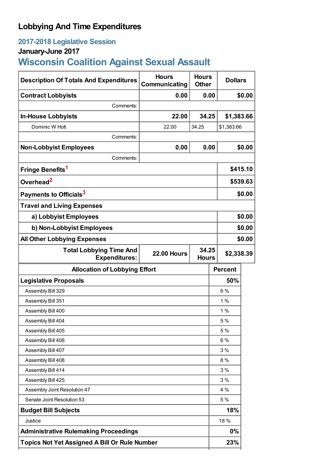# **Lobbying And Time Expenditures**

# **2017-2018 Legislative Session**

# **January-June 2017**

# **Wisconsin Coalition Against Sexual Assault**

| <b>Description Of Totals And Expenditures</b>                                                        | <b>Hours</b><br>Communicating | <b>Hours</b><br><b>Other</b> | <b>Dollars</b> |            |
|------------------------------------------------------------------------------------------------------|-------------------------------|------------------------------|----------------|------------|
| <b>Contract Lobbyists</b>                                                                            | 0.00                          | 0.00                         |                | \$0.00     |
| Comments:                                                                                            |                               |                              |                |            |
| <b>In-House Lobbyists</b>                                                                            | 22.00                         | 34.25                        | \$1,383.66     |            |
| Dominic W Holt                                                                                       | 22.00                         | 34.25                        | \$1,383.66     |            |
| Comments:                                                                                            |                               |                              |                |            |
| <b>Non-Lobbyist Employees</b>                                                                        | 0.00                          | 0.00                         |                | \$0.00     |
| Comments:                                                                                            |                               |                              |                |            |
| Fringe Benefits <sup>1</sup>                                                                         |                               |                              |                | \$415.10   |
| Overhead <sup>2</sup>                                                                                |                               |                              |                | \$539.63   |
| Payments to Officials <sup>3</sup>                                                                   |                               |                              |                | \$0.00     |
| <b>Travel and Living Expenses</b>                                                                    |                               |                              |                |            |
| a) Lobbyist Employees                                                                                |                               |                              |                | \$0.00     |
| b) Non-Lobbyist Employees                                                                            |                               |                              |                | \$0.00     |
| <b>All Other Lobbying Expenses</b>                                                                   |                               |                              |                | \$0.00     |
| <b>Total Lobbying Time And</b><br><b>Expenditures:</b>                                               | <b>22.00 Hours</b>            | 34.25<br><b>Hours</b>        |                | \$2,338.39 |
| <b>Allocation of Lobbying Effort</b>                                                                 |                               |                              | <b>Percent</b> |            |
| <b>Legislative Proposals</b>                                                                         |                               |                              | 50%            |            |
| Assembly Bill 329                                                                                    |                               |                              | 6 %            |            |
| Assembly Bill 351                                                                                    |                               |                              | 1%             |            |
| Assembly Bill 400                                                                                    |                               |                              | 1%             |            |
| Assembly Bill 404                                                                                    |                               |                              |                |            |
| Assembly Bill 405                                                                                    |                               |                              | 5 %            |            |
| Assembly Bill 406                                                                                    |                               |                              | 5 %            |            |
|                                                                                                      |                               |                              | 6%             |            |
| Assembly Bill 407                                                                                    |                               |                              | 3%             |            |
| Assembly Bill 408                                                                                    |                               |                              | 8%             |            |
| Assembly Bill 414                                                                                    |                               |                              | 3%             |            |
| Assembly Bill 425                                                                                    |                               |                              | 3%             |            |
| Assembly Joint Resolution 47                                                                         |                               |                              | 4 %            |            |
| Senate Joint Resolution 53                                                                           |                               |                              | 5 %            |            |
| <b>Budget Bill Subjects</b>                                                                          |                               |                              | 18%            |            |
| Justice                                                                                              |                               |                              | 18 %           |            |
| <b>Administrative Rulemaking Proceedings</b><br><b>Topics Not Yet Assigned A Bill Or Rule Number</b> |                               |                              | 0%<br>23%      |            |